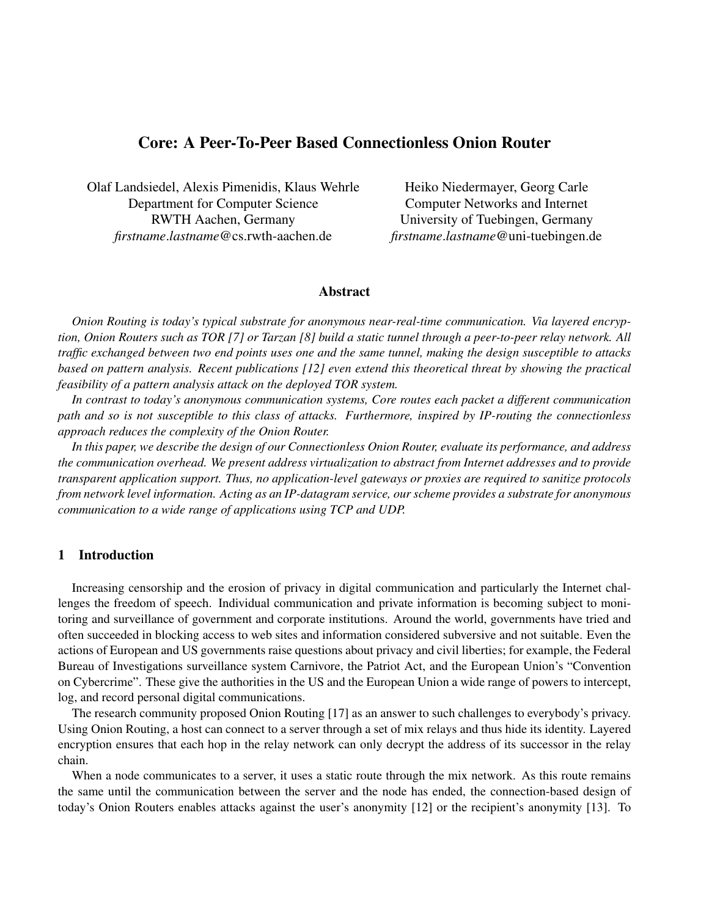# Core: A Peer-To-Peer Based Connectionless Onion Router

Olaf Landsiedel, Alexis Pimenidis, Klaus Wehrle Department for Computer Science RWTH Aachen, Germany *firstname*.*lastname*@cs.rwth-aachen.de

Heiko Niedermayer, Georg Carle Computer Networks and Internet University of Tuebingen, Germany *firstname*.*lastname*@uni-tuebingen.de

### Abstract

*Onion Routing is today's typical substrate for anonymous near-real-time communication. Via layered encryption, Onion Routers such as TOR [7] or Tarzan [8] build a static tunnel through a peer-to-peer relay network. All traffic exchanged between two end points uses one and the same tunnel, making the design susceptible to attacks based on pattern analysis. Recent publications [12] even extend this theoretical threat by showing the practical feasibility of a pattern analysis attack on the deployed TOR system.*

*In contrast to today's anonymous communication systems, Core routes each packet a different communication path and so is not susceptible to this class of attacks. Furthermore, inspired by IP-routing the connectionless approach reduces the complexity of the Onion Router.*

*In this paper, we describe the design of our Connectionless Onion Router, evaluate its performance, and address the communication overhead. We present address virtualization to abstract from Internet addresses and to provide transparent application support. Thus, no application-level gateways or proxies are required to sanitize protocols from network level information. Acting as an IP-datagram service, our scheme provides a substrate for anonymous communication to a wide range of applications using TCP and UDP.*

## 1 Introduction

Increasing censorship and the erosion of privacy in digital communication and particularly the Internet challenges the freedom of speech. Individual communication and private information is becoming subject to monitoring and surveillance of government and corporate institutions. Around the world, governments have tried and often succeeded in blocking access to web sites and information considered subversive and not suitable. Even the actions of European and US governments raise questions about privacy and civil liberties; for example, the Federal Bureau of Investigations surveillance system Carnivore, the Patriot Act, and the European Union's "Convention on Cybercrime". These give the authorities in the US and the European Union a wide range of powers to intercept, log, and record personal digital communications.

The research community proposed Onion Routing [17] as an answer to such challenges to everybody's privacy. Using Onion Routing, a host can connect to a server through a set of mix relays and thus hide its identity. Layered encryption ensures that each hop in the relay network can only decrypt the address of its successor in the relay chain.

When a node communicates to a server, it uses a static route through the mix network. As this route remains the same until the communication between the server and the node has ended, the connection-based design of today's Onion Routers enables attacks against the user's anonymity [12] or the recipient's anonymity [13]. To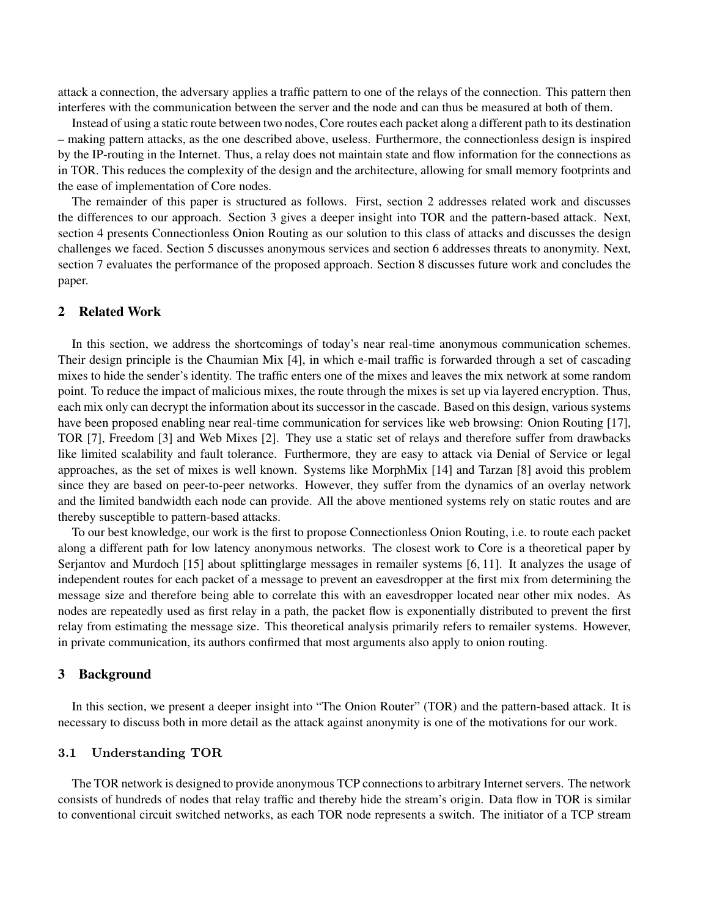attack a connection, the adversary applies a traffic pattern to one of the relays of the connection. This pattern then interferes with the communication between the server and the node and can thus be measured at both of them.

Instead of using a static route between two nodes, Core routes each packet along a different path to its destination – making pattern attacks, as the one described above, useless. Furthermore, the connectionless design is inspired by the IP-routing in the Internet. Thus, a relay does not maintain state and flow information for the connections as in TOR. This reduces the complexity of the design and the architecture, allowing for small memory footprints and the ease of implementation of Core nodes.

The remainder of this paper is structured as follows. First, section 2 addresses related work and discusses the differences to our approach. Section 3 gives a deeper insight into TOR and the pattern-based attack. Next, section 4 presents Connectionless Onion Routing as our solution to this class of attacks and discusses the design challenges we faced. Section 5 discusses anonymous services and section 6 addresses threats to anonymity. Next, section 7 evaluates the performance of the proposed approach. Section 8 discusses future work and concludes the paper.

## 2 Related Work

In this section, we address the shortcomings of today's near real-time anonymous communication schemes. Their design principle is the Chaumian Mix [4], in which e-mail traffic is forwarded through a set of cascading mixes to hide the sender's identity. The traffic enters one of the mixes and leaves the mix network at some random point. To reduce the impact of malicious mixes, the route through the mixes is set up via layered encryption. Thus, each mix only can decrypt the information about its successor in the cascade. Based on this design, various systems have been proposed enabling near real-time communication for services like web browsing: Onion Routing [17], TOR [7], Freedom [3] and Web Mixes [2]. They use a static set of relays and therefore suffer from drawbacks like limited scalability and fault tolerance. Furthermore, they are easy to attack via Denial of Service or legal approaches, as the set of mixes is well known. Systems like MorphMix [14] and Tarzan [8] avoid this problem since they are based on peer-to-peer networks. However, they suffer from the dynamics of an overlay network and the limited bandwidth each node can provide. All the above mentioned systems rely on static routes and are thereby susceptible to pattern-based attacks.

To our best knowledge, our work is the first to propose Connectionless Onion Routing, i.e. to route each packet along a different path for low latency anonymous networks. The closest work to Core is a theoretical paper by Serjantov and Murdoch [15] about splittinglarge messages in remailer systems [6, 11]. It analyzes the usage of independent routes for each packet of a message to prevent an eavesdropper at the first mix from determining the message size and therefore being able to correlate this with an eavesdropper located near other mix nodes. As nodes are repeatedly used as first relay in a path, the packet flow is exponentially distributed to prevent the first relay from estimating the message size. This theoretical analysis primarily refers to remailer systems. However, in private communication, its authors confirmed that most arguments also apply to onion routing.

### 3 Background

In this section, we present a deeper insight into "The Onion Router" (TOR) and the pattern-based attack. It is necessary to discuss both in more detail as the attack against anonymity is one of the motivations for our work.

## 3.1 Understanding TOR

The TOR network is designed to provide anonymous TCP connections to arbitrary Internet servers. The network consists of hundreds of nodes that relay traffic and thereby hide the stream's origin. Data flow in TOR is similar to conventional circuit switched networks, as each TOR node represents a switch. The initiator of a TCP stream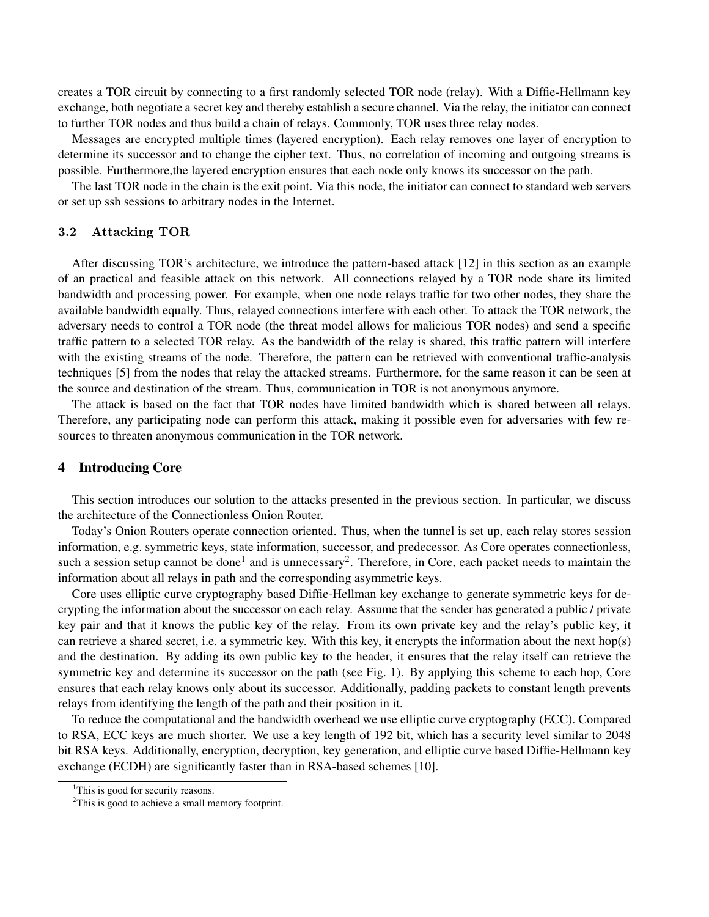creates a TOR circuit by connecting to a first randomly selected TOR node (relay). With a Diffie-Hellmann key exchange, both negotiate a secret key and thereby establish a secure channel. Via the relay, the initiator can connect to further TOR nodes and thus build a chain of relays. Commonly, TOR uses three relay nodes.

Messages are encrypted multiple times (layered encryption). Each relay removes one layer of encryption to determine its successor and to change the cipher text. Thus, no correlation of incoming and outgoing streams is possible. Furthermore,the layered encryption ensures that each node only knows its successor on the path.

The last TOR node in the chain is the exit point. Via this node, the initiator can connect to standard web servers or set up ssh sessions to arbitrary nodes in the Internet.

#### 3.2 Attacking TOR

After discussing TOR's architecture, we introduce the pattern-based attack [12] in this section as an example of an practical and feasible attack on this network. All connections relayed by a TOR node share its limited bandwidth and processing power. For example, when one node relays traffic for two other nodes, they share the available bandwidth equally. Thus, relayed connections interfere with each other. To attack the TOR network, the adversary needs to control a TOR node (the threat model allows for malicious TOR nodes) and send a specific traffic pattern to a selected TOR relay. As the bandwidth of the relay is shared, this traffic pattern will interfere with the existing streams of the node. Therefore, the pattern can be retrieved with conventional traffic-analysis techniques [5] from the nodes that relay the attacked streams. Furthermore, for the same reason it can be seen at the source and destination of the stream. Thus, communication in TOR is not anonymous anymore.

The attack is based on the fact that TOR nodes have limited bandwidth which is shared between all relays. Therefore, any participating node can perform this attack, making it possible even for adversaries with few resources to threaten anonymous communication in the TOR network.

### 4 Introducing Core

This section introduces our solution to the attacks presented in the previous section. In particular, we discuss the architecture of the Connectionless Onion Router.

Today's Onion Routers operate connection oriented. Thus, when the tunnel is set up, each relay stores session information, e.g. symmetric keys, state information, successor, and predecessor. As Core operates connectionless, such a session setup cannot be done<sup>1</sup> and is unnecessary<sup>2</sup>. Therefore, in Core, each packet needs to maintain the information about all relays in path and the corresponding asymmetric keys.

Core uses elliptic curve cryptography based Diffie-Hellman key exchange to generate symmetric keys for decrypting the information about the successor on each relay. Assume that the sender has generated a public / private key pair and that it knows the public key of the relay. From its own private key and the relay's public key, it can retrieve a shared secret, i.e. a symmetric key. With this key, it encrypts the information about the next hop(s) and the destination. By adding its own public key to the header, it ensures that the relay itself can retrieve the symmetric key and determine its successor on the path (see Fig. 1). By applying this scheme to each hop, Core ensures that each relay knows only about its successor. Additionally, padding packets to constant length prevents relays from identifying the length of the path and their position in it.

To reduce the computational and the bandwidth overhead we use elliptic curve cryptography (ECC). Compared to RSA, ECC keys are much shorter. We use a key length of 192 bit, which has a security level similar to 2048 bit RSA keys. Additionally, encryption, decryption, key generation, and elliptic curve based Diffie-Hellmann key exchange (ECDH) are significantly faster than in RSA-based schemes [10].

<sup>&</sup>lt;sup>1</sup>This is good for security reasons.

 $2$ This is good to achieve a small memory footprint.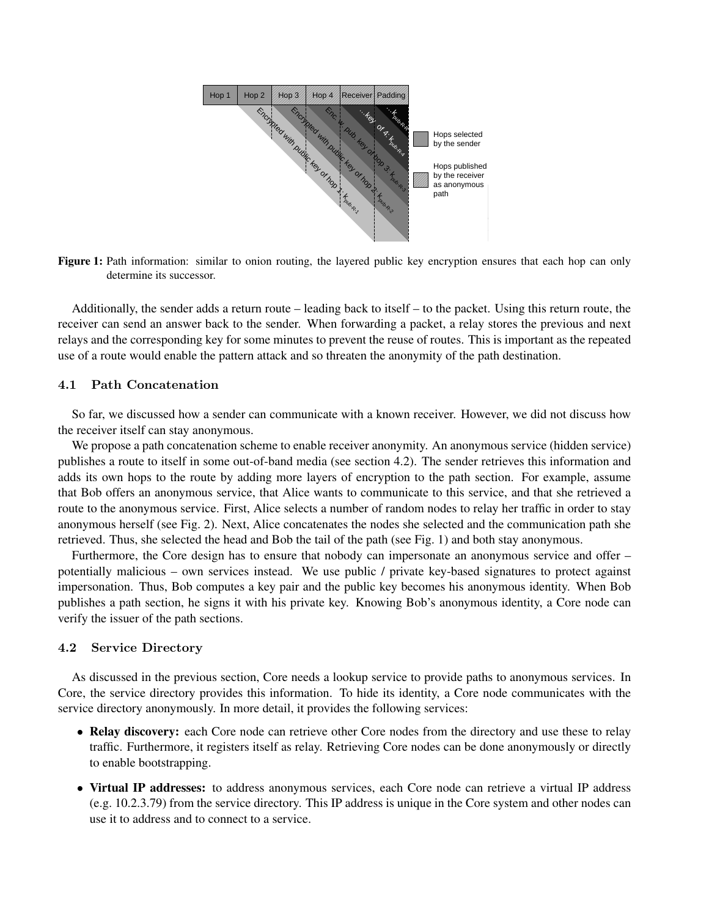

Figure 1: Path information: similar to onion routing, the layered public key encryption ensures that each hop can only determine its successor.

Additionally, the sender adds a return route – leading back to itself – to the packet. Using this return route, the receiver can send an answer back to the sender. When forwarding a packet, a relay stores the previous and next relays and the corresponding key for some minutes to prevent the reuse of routes. This is important as the repeated use of a route would enable the pattern attack and so threaten the anonymity of the path destination.

### 4.1 Path Concatenation

So far, we discussed how a sender can communicate with a known receiver. However, we did not discuss how the receiver itself can stay anonymous.

We propose a path concatenation scheme to enable receiver anonymity. An anonymous service (hidden service) publishes a route to itself in some out-of-band media (see section 4.2). The sender retrieves this information and adds its own hops to the route by adding more layers of encryption to the path section. For example, assume that Bob offers an anonymous service, that Alice wants to communicate to this service, and that she retrieved a route to the anonymous service. First, Alice selects a number of random nodes to relay her traffic in order to stay anonymous herself (see Fig. 2). Next, Alice concatenates the nodes she selected and the communication path she retrieved. Thus, she selected the head and Bob the tail of the path (see Fig. 1) and both stay anonymous.

Furthermore, the Core design has to ensure that nobody can impersonate an anonymous service and offer – potentially malicious – own services instead. We use public / private key-based signatures to protect against impersonation. Thus, Bob computes a key pair and the public key becomes his anonymous identity. When Bob publishes a path section, he signs it with his private key. Knowing Bob's anonymous identity, a Core node can verify the issuer of the path sections.

### 4.2 Service Directory

As discussed in the previous section, Core needs a lookup service to provide paths to anonymous services. In Core, the service directory provides this information. To hide its identity, a Core node communicates with the service directory anonymously. In more detail, it provides the following services:

- Relay discovery: each Core node can retrieve other Core nodes from the directory and use these to relay traffic. Furthermore, it registers itself as relay. Retrieving Core nodes can be done anonymously or directly to enable bootstrapping.
- Virtual IP addresses: to address anonymous services, each Core node can retrieve a virtual IP address (e.g. 10.2.3.79) from the service directory. This IP address is unique in the Core system and other nodes can use it to address and to connect to a service.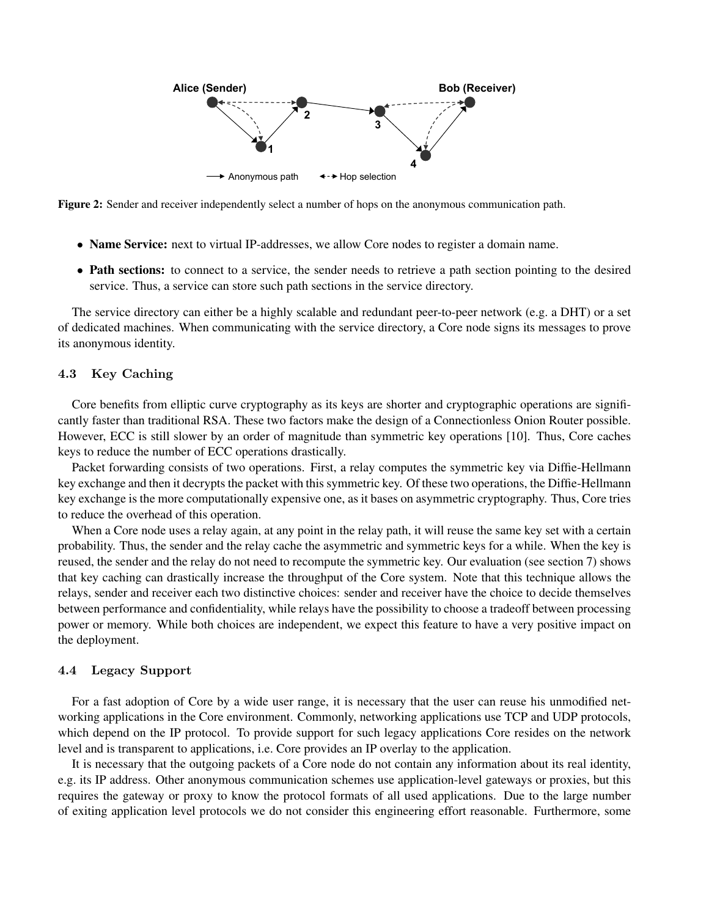

Figure 2: Sender and receiver independently select a number of hops on the anonymous communication path.

- Name Service: next to virtual IP-addresses, we allow Core nodes to register a domain name.
- Path sections: to connect to a service, the sender needs to retrieve a path section pointing to the desired service. Thus, a service can store such path sections in the service directory.

The service directory can either be a highly scalable and redundant peer-to-peer network (e.g. a DHT) or a set of dedicated machines. When communicating with the service directory, a Core node signs its messages to prove its anonymous identity.

## 4.3 Key Caching

Core benefits from elliptic curve cryptography as its keys are shorter and cryptographic operations are significantly faster than traditional RSA. These two factors make the design of a Connectionless Onion Router possible. However, ECC is still slower by an order of magnitude than symmetric key operations [10]. Thus, Core caches keys to reduce the number of ECC operations drastically.

Packet forwarding consists of two operations. First, a relay computes the symmetric key via Diffie-Hellmann key exchange and then it decrypts the packet with this symmetric key. Of these two operations, the Diffie-Hellmann key exchange is the more computationally expensive one, as it bases on asymmetric cryptography. Thus, Core tries to reduce the overhead of this operation.

When a Core node uses a relay again, at any point in the relay path, it will reuse the same key set with a certain probability. Thus, the sender and the relay cache the asymmetric and symmetric keys for a while. When the key is reused, the sender and the relay do not need to recompute the symmetric key. Our evaluation (see section 7) shows that key caching can drastically increase the throughput of the Core system. Note that this technique allows the relays, sender and receiver each two distinctive choices: sender and receiver have the choice to decide themselves between performance and confidentiality, while relays have the possibility to choose a tradeoff between processing power or memory. While both choices are independent, we expect this feature to have a very positive impact on the deployment.

### 4.4 Legacy Support

For a fast adoption of Core by a wide user range, it is necessary that the user can reuse his unmodified networking applications in the Core environment. Commonly, networking applications use TCP and UDP protocols, which depend on the IP protocol. To provide support for such legacy applications Core resides on the network level and is transparent to applications, i.e. Core provides an IP overlay to the application.

It is necessary that the outgoing packets of a Core node do not contain any information about its real identity, e.g. its IP address. Other anonymous communication schemes use application-level gateways or proxies, but this requires the gateway or proxy to know the protocol formats of all used applications. Due to the large number of exiting application level protocols we do not consider this engineering effort reasonable. Furthermore, some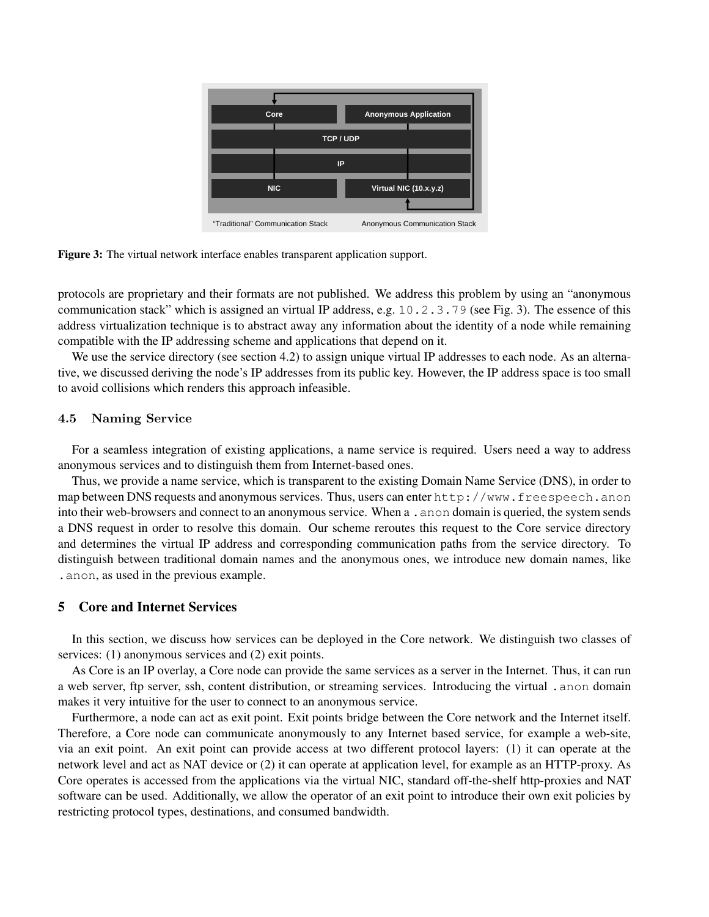

Figure 3: The virtual network interface enables transparent application support.

protocols are proprietary and their formats are not published. We address this problem by using an "anonymous communication stack" which is assigned an virtual IP address, e.g. 10.2.3.79 (see Fig. 3). The essence of this address virtualization technique is to abstract away any information about the identity of a node while remaining compatible with the IP addressing scheme and applications that depend on it.

We use the service directory (see section 4.2) to assign unique virtual IP addresses to each node. As an alternative, we discussed deriving the node's IP addresses from its public key. However, the IP address space is too small to avoid collisions which renders this approach infeasible.

## 4.5 Naming Service

For a seamless integration of existing applications, a name service is required. Users need a way to address anonymous services and to distinguish them from Internet-based ones.

Thus, we provide a name service, which is transparent to the existing Domain Name Service (DNS), in order to map between DNS requests and anonymous services. Thus, users can enter http://www.freespeech.anon into their web-browsers and connect to an anonymous service. When a .anon domain is queried, the system sends a DNS request in order to resolve this domain. Our scheme reroutes this request to the Core service directory and determines the virtual IP address and corresponding communication paths from the service directory. To distinguish between traditional domain names and the anonymous ones, we introduce new domain names, like .anon, as used in the previous example.

## 5 Core and Internet Services

In this section, we discuss how services can be deployed in the Core network. We distinguish two classes of services: (1) anonymous services and (2) exit points.

As Core is an IP overlay, a Core node can provide the same services as a server in the Internet. Thus, it can run a web server, ftp server, ssh, content distribution, or streaming services. Introducing the virtual .anon domain makes it very intuitive for the user to connect to an anonymous service.

Furthermore, a node can act as exit point. Exit points bridge between the Core network and the Internet itself. Therefore, a Core node can communicate anonymously to any Internet based service, for example a web-site, via an exit point. An exit point can provide access at two different protocol layers: (1) it can operate at the network level and act as NAT device or (2) it can operate at application level, for example as an HTTP-proxy. As Core operates is accessed from the applications via the virtual NIC, standard off-the-shelf http-proxies and NAT software can be used. Additionally, we allow the operator of an exit point to introduce their own exit policies by restricting protocol types, destinations, and consumed bandwidth.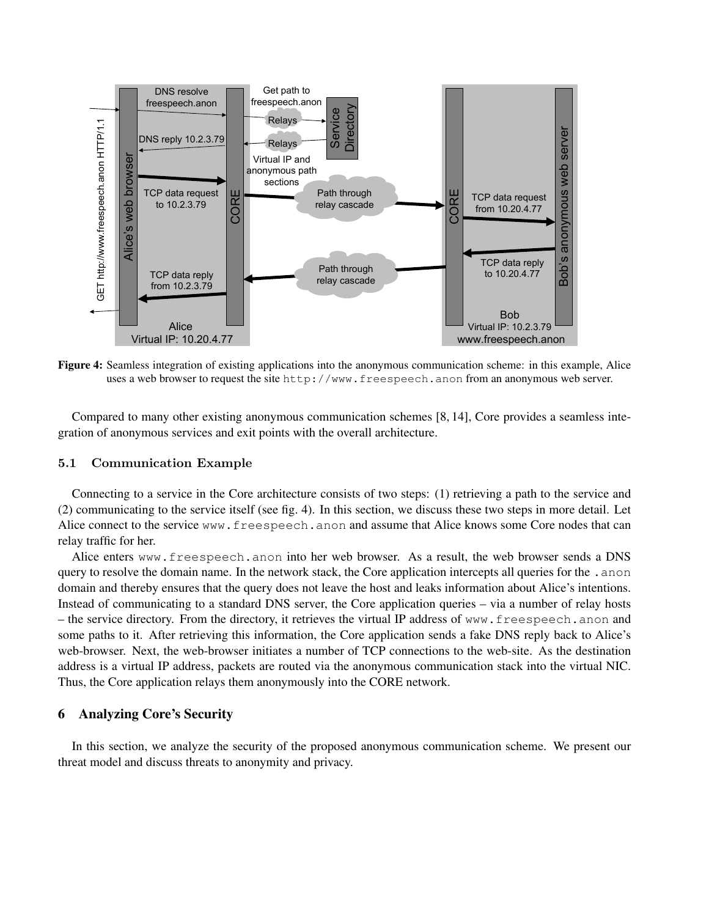

Figure 4: Seamless integration of existing applications into the anonymous communication scheme: in this example, Alice uses a web browser to request the site http://www.freespeech.anon from an anonymous web server.

Compared to many other existing anonymous communication schemes [8, 14], Core provides a seamless integration of anonymous services and exit points with the overall architecture.

#### 5.1 Communication Example

Connecting to a service in the Core architecture consists of two steps: (1) retrieving a path to the service and (2) communicating to the service itself (see fig. 4). In this section, we discuss these two steps in more detail. Let Alice connect to the service www.freespeech.anon and assume that Alice knows some Core nodes that can relay traffic for her.

Alice enters www.freespeech.anon into her web browser. As a result, the web browser sends a DNS query to resolve the domain name. In the network stack, the Core application intercepts all queries for the .anon domain and thereby ensures that the query does not leave the host and leaks information about Alice's intentions. Instead of communicating to a standard DNS server, the Core application queries – via a number of relay hosts – the service directory. From the directory, it retrieves the virtual IP address of www.freespeech.anon and some paths to it. After retrieving this information, the Core application sends a fake DNS reply back to Alice's web-browser. Next, the web-browser initiates a number of TCP connections to the web-site. As the destination address is a virtual IP address, packets are routed via the anonymous communication stack into the virtual NIC. Thus, the Core application relays them anonymously into the CORE network.

## 6 Analyzing Core's Security

In this section, we analyze the security of the proposed anonymous communication scheme. We present our threat model and discuss threats to anonymity and privacy.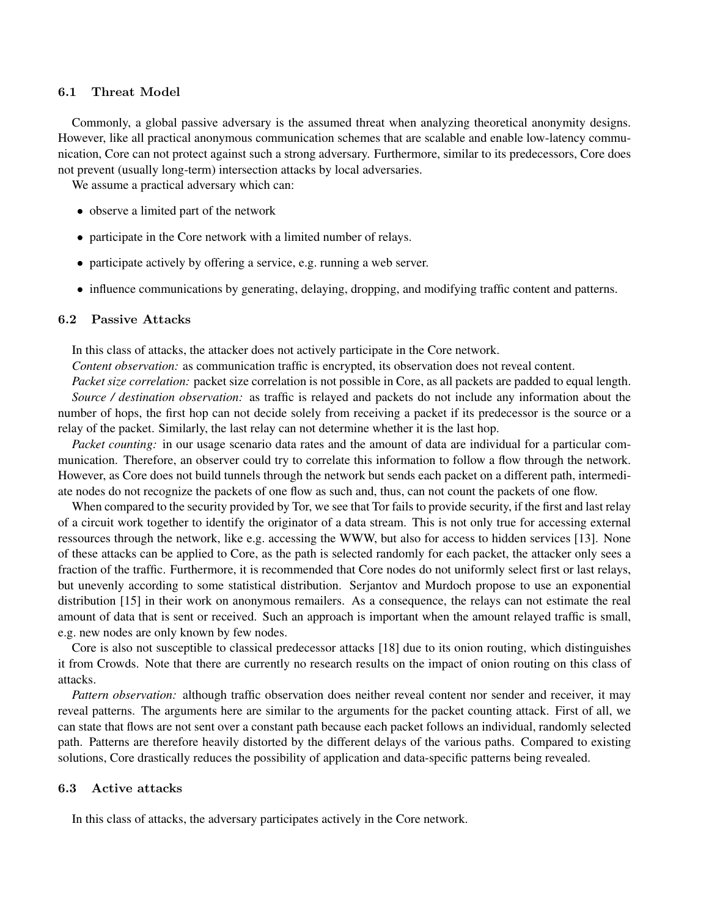### 6.1 Threat Model

Commonly, a global passive adversary is the assumed threat when analyzing theoretical anonymity designs. However, like all practical anonymous communication schemes that are scalable and enable low-latency communication, Core can not protect against such a strong adversary. Furthermore, similar to its predecessors, Core does not prevent (usually long-term) intersection attacks by local adversaries.

We assume a practical adversary which can:

- observe a limited part of the network
- participate in the Core network with a limited number of relays.
- participate actively by offering a service, e.g. running a web server.
- influence communications by generating, delaying, dropping, and modifying traffic content and patterns.

#### 6.2 Passive Attacks

In this class of attacks, the attacker does not actively participate in the Core network.

*Content observation:* as communication traffic is encrypted, its observation does not reveal content.

*Packet size correlation:* packet size correlation is not possible in Core, as all packets are padded to equal length. *Source / destination observation:* as traffic is relayed and packets do not include any information about the number of hops, the first hop can not decide solely from receiving a packet if its predecessor is the source or a relay of the packet. Similarly, the last relay can not determine whether it is the last hop.

*Packet counting:* in our usage scenario data rates and the amount of data are individual for a particular communication. Therefore, an observer could try to correlate this information to follow a flow through the network. However, as Core does not build tunnels through the network but sends each packet on a different path, intermediate nodes do not recognize the packets of one flow as such and, thus, can not count the packets of one flow.

When compared to the security provided by Tor, we see that Tor fails to provide security, if the first and last relay of a circuit work together to identify the originator of a data stream. This is not only true for accessing external ressources through the network, like e.g. accessing the WWW, but also for access to hidden services [13]. None of these attacks can be applied to Core, as the path is selected randomly for each packet, the attacker only sees a fraction of the traffic. Furthermore, it is recommended that Core nodes do not uniformly select first or last relays, but unevenly according to some statistical distribution. Serjantov and Murdoch propose to use an exponential distribution [15] in their work on anonymous remailers. As a consequence, the relays can not estimate the real amount of data that is sent or received. Such an approach is important when the amount relayed traffic is small, e.g. new nodes are only known by few nodes.

Core is also not susceptible to classical predecessor attacks [18] due to its onion routing, which distinguishes it from Crowds. Note that there are currently no research results on the impact of onion routing on this class of attacks.

*Pattern observation:* although traffic observation does neither reveal content nor sender and receiver, it may reveal patterns. The arguments here are similar to the arguments for the packet counting attack. First of all, we can state that flows are not sent over a constant path because each packet follows an individual, randomly selected path. Patterns are therefore heavily distorted by the different delays of the various paths. Compared to existing solutions, Core drastically reduces the possibility of application and data-specific patterns being revealed.

### 6.3 Active attacks

In this class of attacks, the adversary participates actively in the Core network.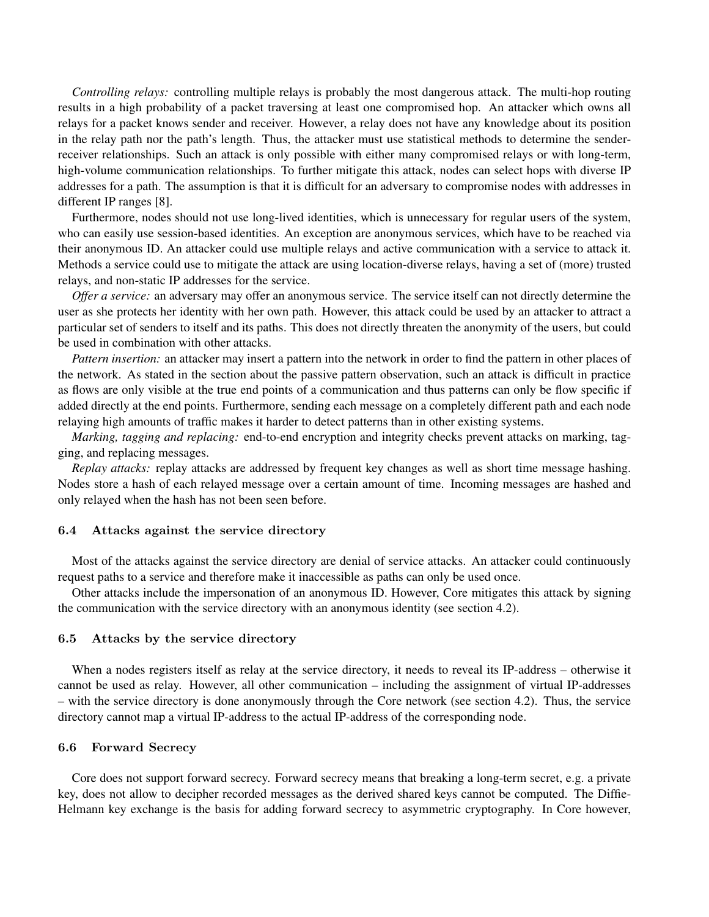*Controlling relays:* controlling multiple relays is probably the most dangerous attack. The multi-hop routing results in a high probability of a packet traversing at least one compromised hop. An attacker which owns all relays for a packet knows sender and receiver. However, a relay does not have any knowledge about its position in the relay path nor the path's length. Thus, the attacker must use statistical methods to determine the senderreceiver relationships. Such an attack is only possible with either many compromised relays or with long-term, high-volume communication relationships. To further mitigate this attack, nodes can select hops with diverse IP addresses for a path. The assumption is that it is difficult for an adversary to compromise nodes with addresses in different IP ranges [8].

Furthermore, nodes should not use long-lived identities, which is unnecessary for regular users of the system, who can easily use session-based identities. An exception are anonymous services, which have to be reached via their anonymous ID. An attacker could use multiple relays and active communication with a service to attack it. Methods a service could use to mitigate the attack are using location-diverse relays, having a set of (more) trusted relays, and non-static IP addresses for the service.

*Offer a service:* an adversary may offer an anonymous service. The service itself can not directly determine the user as she protects her identity with her own path. However, this attack could be used by an attacker to attract a particular set of senders to itself and its paths. This does not directly threaten the anonymity of the users, but could be used in combination with other attacks.

*Pattern insertion:* an attacker may insert a pattern into the network in order to find the pattern in other places of the network. As stated in the section about the passive pattern observation, such an attack is difficult in practice as flows are only visible at the true end points of a communication and thus patterns can only be flow specific if added directly at the end points. Furthermore, sending each message on a completely different path and each node relaying high amounts of traffic makes it harder to detect patterns than in other existing systems.

*Marking, tagging and replacing:* end-to-end encryption and integrity checks prevent attacks on marking, tagging, and replacing messages.

*Replay attacks:* replay attacks are addressed by frequent key changes as well as short time message hashing. Nodes store a hash of each relayed message over a certain amount of time. Incoming messages are hashed and only relayed when the hash has not been seen before.

#### 6.4 Attacks against the service directory

Most of the attacks against the service directory are denial of service attacks. An attacker could continuously request paths to a service and therefore make it inaccessible as paths can only be used once.

Other attacks include the impersonation of an anonymous ID. However, Core mitigates this attack by signing the communication with the service directory with an anonymous identity (see section 4.2).

### 6.5 Attacks by the service directory

When a nodes registers itself as relay at the service directory, it needs to reveal its IP-address – otherwise it cannot be used as relay. However, all other communication – including the assignment of virtual IP-addresses – with the service directory is done anonymously through the Core network (see section 4.2). Thus, the service directory cannot map a virtual IP-address to the actual IP-address of the corresponding node.

### 6.6 Forward Secrecy

Core does not support forward secrecy. Forward secrecy means that breaking a long-term secret, e.g. a private key, does not allow to decipher recorded messages as the derived shared keys cannot be computed. The Diffie-Helmann key exchange is the basis for adding forward secrecy to asymmetric cryptography. In Core however,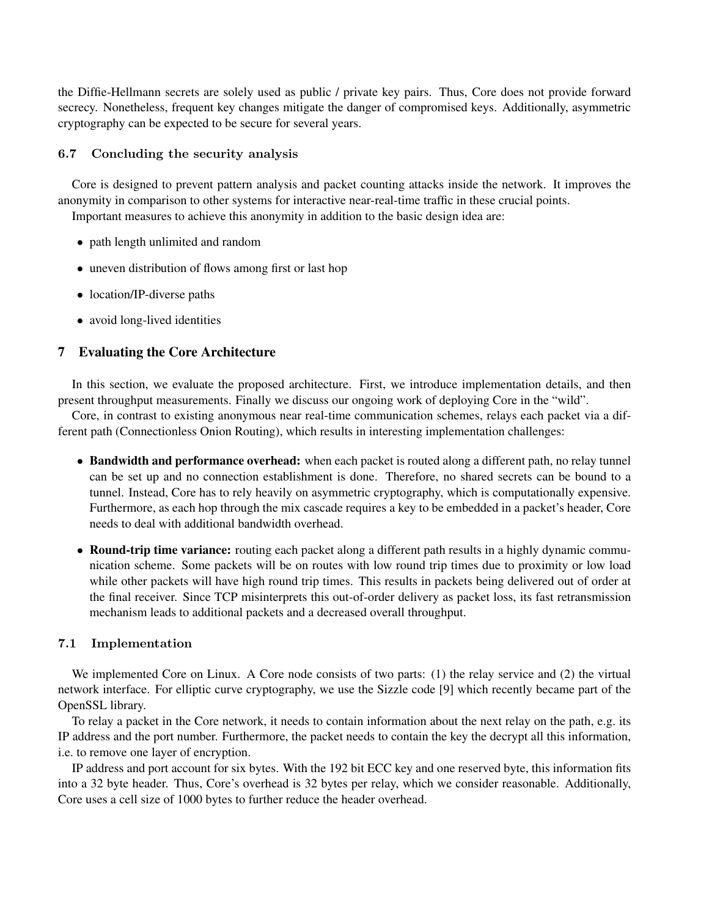the Diffie-Hellmann secrets are solely used as public / private key pairs. Thus, Core does not provide forward secrecy. Nonetheless, frequent key changes mitigate the danger of compromised keys. Additionally, asymmetric cryptography can be expected to be secure for several years.

## 6.7 Concluding the security analysis

Core is designed to prevent pattern analysis and packet counting attacks inside the network. It improves the anonymity in comparison to other systems for interactive near-real-time traffic in these crucial points. Important measures to achieve this anonymity in addition to the basic design idea are:

- path length unlimited and random
- uneven distribution of flows among first or last hop
- location/IP-diverse paths
- avoid long-lived identities

## 7 Evaluating the Core Architecture

In this section, we evaluate the proposed architecture. First, we introduce implementation details, and then present throughput measurements. Finally we discuss our ongoing work of deploying Core in the "wild".

Core, in contrast to existing anonymous near real-time communication schemes, relays each packet via a different path (Connectionless Onion Routing), which results in interesting implementation challenges:

- Bandwidth and performance overhead: when each packet is routed along a different path, no relay tunnel can be set up and no connection establishment is done. Therefore, no shared secrets can be bound to a tunnel. Instead, Core has to rely heavily on asymmetric cryptography, which is computationally expensive. Furthermore, as each hop through the mix cascade requires a key to be embedded in a packet's header, Core needs to deal with additional bandwidth overhead.
- Round-trip time variance: routing each packet along a different path results in a highly dynamic communication scheme. Some packets will be on routes with low round trip times due to proximity or low load while other packets will have high round trip times. This results in packets being delivered out of order at the final receiver. Since TCP misinterprets this out-of-order delivery as packet loss, its fast retransmission mechanism leads to additional packets and a decreased overall throughput.

## 7.1 Implementation

We implemented Core on Linux. A Core node consists of two parts: (1) the relay service and (2) the virtual network interface. For elliptic curve cryptography, we use the Sizzle code [9] which recently became part of the OpenSSL library.

To relay a packet in the Core network, it needs to contain information about the next relay on the path, e.g. its IP address and the port number. Furthermore, the packet needs to contain the key the decrypt all this information, i.e. to remove one layer of encryption.

IP address and port account for six bytes. With the 192 bit ECC key and one reserved byte, this information fits into a 32 byte header. Thus, Core's overhead is 32 bytes per relay, which we consider reasonable. Additionally, Core uses a cell size of 1000 bytes to further reduce the header overhead.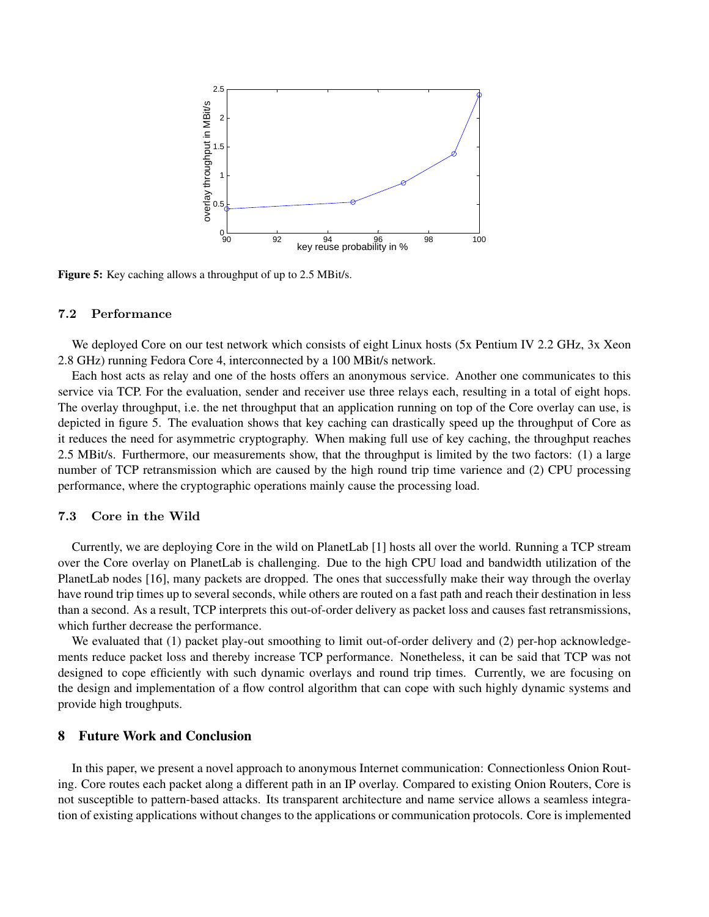

Figure 5: Key caching allows a throughput of up to 2.5 MBit/s.

#### 7.2 Performance

We deployed Core on our test network which consists of eight Linux hosts (5x Pentium IV 2.2 GHz, 3x Xeon 2.8 GHz) running Fedora Core 4, interconnected by a 100 MBit/s network.

Each host acts as relay and one of the hosts offers an anonymous service. Another one communicates to this service via TCP. For the evaluation, sender and receiver use three relays each, resulting in a total of eight hops. The overlay throughput, i.e. the net throughput that an application running on top of the Core overlay can use, is depicted in figure 5. The evaluation shows that key caching can drastically speed up the throughput of Core as it reduces the need for asymmetric cryptography. When making full use of key caching, the throughput reaches 2.5 MBit/s. Furthermore, our measurements show, that the throughput is limited by the two factors: (1) a large number of TCP retransmission which are caused by the high round trip time varience and (2) CPU processing performance, where the cryptographic operations mainly cause the processing load.

#### 7.3 Core in the Wild

Currently, we are deploying Core in the wild on PlanetLab [1] hosts all over the world. Running a TCP stream over the Core overlay on PlanetLab is challenging. Due to the high CPU load and bandwidth utilization of the PlanetLab nodes [16], many packets are dropped. The ones that successfully make their way through the overlay have round trip times up to several seconds, while others are routed on a fast path and reach their destination in less than a second. As a result, TCP interprets this out-of-order delivery as packet loss and causes fast retransmissions, which further decrease the performance.

We evaluated that (1) packet play-out smoothing to limit out-of-order delivery and (2) per-hop acknowledgements reduce packet loss and thereby increase TCP performance. Nonetheless, it can be said that TCP was not designed to cope efficiently with such dynamic overlays and round trip times. Currently, we are focusing on the design and implementation of a flow control algorithm that can cope with such highly dynamic systems and provide high troughputs.

### 8 Future Work and Conclusion

In this paper, we present a novel approach to anonymous Internet communication: Connectionless Onion Routing. Core routes each packet along a different path in an IP overlay. Compared to existing Onion Routers, Core is not susceptible to pattern-based attacks. Its transparent architecture and name service allows a seamless integration of existing applications without changes to the applications or communication protocols. Core is implemented